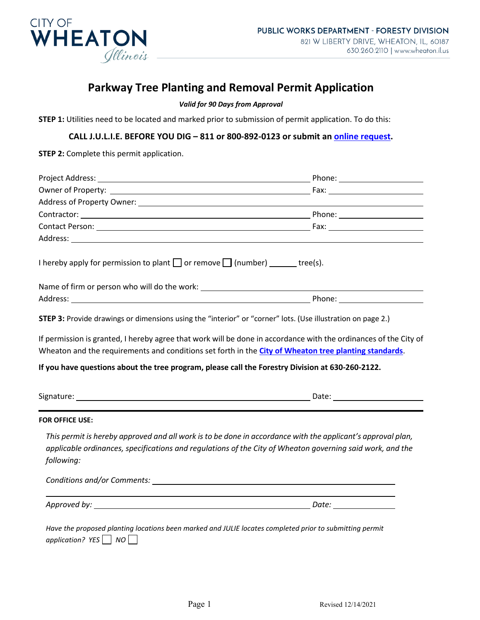

# **Parkway Tree Planting and Removal Permit Application**

#### *Valid for 90 Days from Approval*

**STEP 1:** Utilities need to be located and marked prior to submission of permit application. To do this:

#### **CALL J.U.L.I.E. BEFORE YOU DIG – 811 or 800-892-0123 or submit an [online request.](http://newtina.julie1call.com/newtinweb/e_request.nas)**

**STEP 2:** Complete this permit application.

| I hereby apply for permission to plant $\Box$ or remove $\Box$ (number) ______ tree(s). |                                                                                                                                                                                                                                                                                                                                                 |
|-----------------------------------------------------------------------------------------|-------------------------------------------------------------------------------------------------------------------------------------------------------------------------------------------------------------------------------------------------------------------------------------------------------------------------------------------------|
|                                                                                         |                                                                                                                                                                                                                                                                                                                                                 |
|                                                                                         |                                                                                                                                                                                                                                                                                                                                                 |
|                                                                                         | <b>STEP 3:</b> Provide drawings or dimensions using the "interior" or "corner" lots. (Use illustration on page 2.)<br>If permission is granted, I hereby agree that work will be done in accordance with the ordinances of the City of<br>Wheaton and the requirements and conditions set forth in the City of Wheaton tree planting standards. |
|                                                                                         | If you have questions about the tree program, please call the Forestry Division at 630-260-2122.                                                                                                                                                                                                                                                |
|                                                                                         |                                                                                                                                                                                                                                                                                                                                                 |
| <b>FOR OFFICE USE:</b>                                                                  |                                                                                                                                                                                                                                                                                                                                                 |
| following:                                                                              | This permit is hereby approved and all work is to be done in accordance with the applicant's approval plan,<br>applicable ordinances, specifications and regulations of the City of Wheaton governing said work, and the                                                                                                                        |
|                                                                                         |                                                                                                                                                                                                                                                                                                                                                 |
|                                                                                         |                                                                                                                                                                                                                                                                                                                                                 |
| application? $YES$   NO                                                                 | Have the proposed planting locations been marked and JULIE locates completed prior to submitting permit                                                                                                                                                                                                                                         |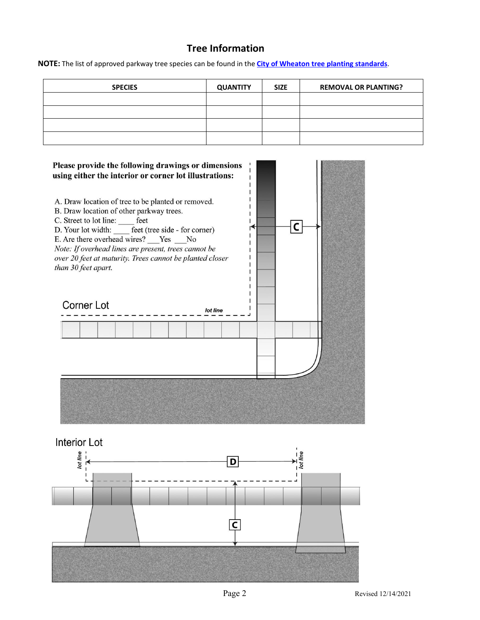# **Tree Information**

**NOTE:** The list of approved parkway tree species can be found in the **[City of Wheaton tree planting standards](https://www.wheaton.il.us/1045/Parkway-Tree-Planting-Standards)**.

| <b>SPECIES</b> | <b>QUANTITY</b> | <b>SIZE</b> | <b>REMOVAL OR PLANTING?</b> |  |
|----------------|-----------------|-------------|-----------------------------|--|
|                |                 |             |                             |  |
|                |                 |             |                             |  |
|                |                 |             |                             |  |
|                |                 |             |                             |  |



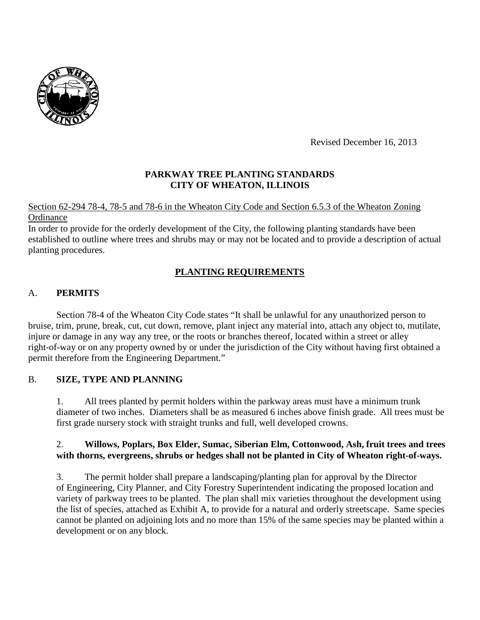

Revised December 16, 2013

## **PARKWAY TREE PLANTING STANDARDS CITY OF WHEATON, ILLINOIS**

Section 62-294 78-4, 78-5 and 78-6 in the Wheaton City Code and Section 6.5.3 of the Wheaton Zoning **Ordinance** 

In order to provide for the orderly development of the City, the following planting standards have been established to outline where trees and shrubs may or may not be located and to provide a description of actual planting procedures.

# **PLANTING REQUIREMENTS**

## A. **PERMITS**

Section 78-4 of the Wheaton City Code states "It shall be unlawful for any unauthorized person to bruise, trim, prune, break, cut, cut down, remove, plant inject any material into, attach any object to, mutilate, injure or damage in any way any tree, or the roots or branches thereof, located within a street or alley right-of-way or on any property owned by or under the jurisdiction of the City without having first obtained a permit therefore from the Engineering Department."

### B. **SIZE, TYPE AND PLANNING**

1. All trees planted by permit holders within the parkway areas must have a minimum trunk diameter of two inches. Diameters shall be as measured 6 inches above finish grade. All trees must be first grade nursery stock with straight trunks and full, well developed crowns.

### 2. **Willows, Poplars, Box Elder, Sumac, Siberian Elm, Cottonwood, Ash, fruit trees and trees with thorns, evergreens, shrubs or hedges shall not be planted in City of Wheaton right-of-ways.**

3. The permit holder shall prepare a landscaping/planting plan for approval by the Director of Engineering, City Planner, and City Forestry Superintendent indicating the proposed location and variety of parkway trees to be planted. The plan shall mix varieties throughout the development using the list of species, attached as Exhibit A, to provide for a natural and orderly streetscape. Same species cannot be planted on adjoining lots and no more than 15% of the same species may be planted within a development or on any block.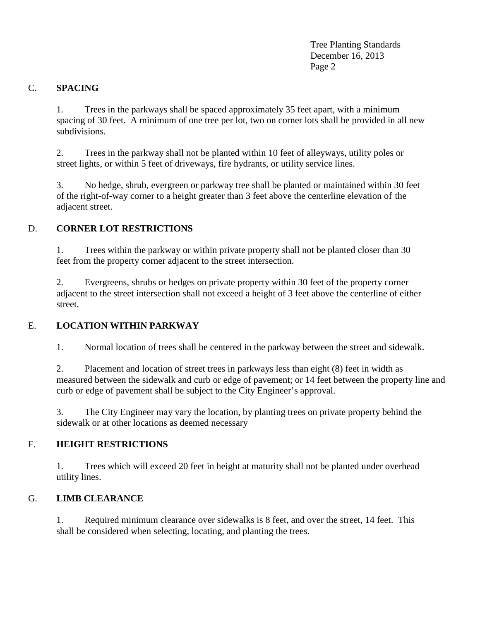Tree Planting Standards December 16, 2013 Page 2

### C. **SPACING**

1. Trees in the parkways shall be spaced approximately 35 feet apart, with a minimum spacing of 30 feet. A minimum of one tree per lot, two on corner lots shall be provided in all new subdivisions.

2. Trees in the parkway shall not be planted within 10 feet of alleyways, utility poles or street lights, or within 5 feet of driveways, fire hydrants, or utility service lines.

3. No hedge, shrub, evergreen or parkway tree shall be planted or maintained within 30 feet of the right-of-way corner to a height greater than 3 feet above the centerline elevation of the adjacent street.

## D. **CORNER LOT RESTRICTIONS**

1. Trees within the parkway or within private property shall not be planted closer than 30 feet from the property corner adjacent to the street intersection.

2. Evergreens, shrubs or hedges on private property within 30 feet of the property corner adjacent to the street intersection shall not exceed a height of 3 feet above the centerline of either street.

### E. **LOCATION WITHIN PARKWAY**

1. Normal location of trees shall be centered in the parkway between the street and sidewalk.

2. Placement and location of street trees in parkways less than eight (8) feet in width as measured between the sidewalk and curb or edge of pavement; or 14 feet between the property line and curb or edge of pavement shall be subject to the City Engineer's approval.

3. The City Engineer may vary the location, by planting trees on private property behind the sidewalk or at other locations as deemed necessary

### F. **HEIGHT RESTRICTIONS**

1. Trees which will exceed 20 feet in height at maturity shall not be planted under overhead utility lines.

### G. **LIMB CLEARANCE**

1. Required minimum clearance over sidewalks is 8 feet, and over the street, 14 feet. This shall be considered when selecting, locating, and planting the trees.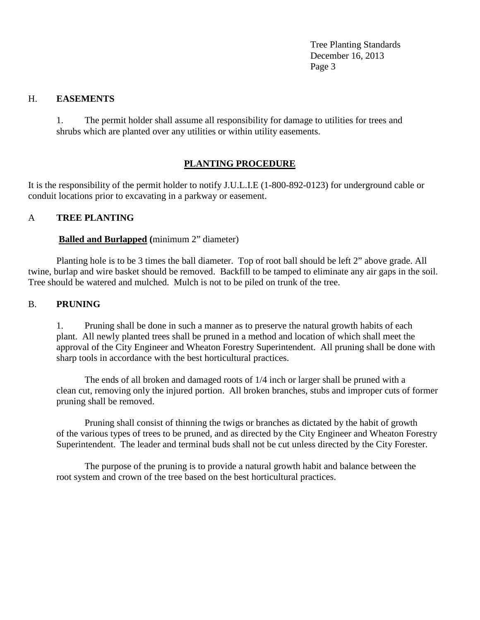Tree Planting Standards December 16, 2013 Page 3

#### H. **EASEMENTS**

1. The permit holder shall assume all responsibility for damage to utilities for trees and shrubs which are planted over any utilities or within utility easements.

## **PLANTING PROCEDURE**

It is the responsibility of the permit holder to notify J.U.L.I.E (1-800-892-0123) for underground cable or conduit locations prior to excavating in a parkway or easement.

#### A **TREE PLANTING**

#### **Balled and Burlapped (**minimum 2" diameter)

Planting hole is to be 3 times the ball diameter. Top of root ball should be left 2" above grade. All twine, burlap and wire basket should be removed. Backfill to be tamped to eliminate any air gaps in the soil. Tree should be watered and mulched. Mulch is not to be piled on trunk of the tree.

#### B. **PRUNING**

1. Pruning shall be done in such a manner as to preserve the natural growth habits of each plant. All newly planted trees shall be pruned in a method and location of which shall meet the approval of the City Engineer and Wheaton Forestry Superintendent. All pruning shall be done with sharp tools in accordance with the best horticultural practices.

The ends of all broken and damaged roots of 1/4 inch or larger shall be pruned with a clean cut, removing only the injured portion. All broken branches, stubs and improper cuts of former pruning shall be removed.

Pruning shall consist of thinning the twigs or branches as dictated by the habit of growth of the various types of trees to be pruned, and as directed by the City Engineer and Wheaton Forestry Superintendent. The leader and terminal buds shall not be cut unless directed by the City Forester.

The purpose of the pruning is to provide a natural growth habit and balance between the root system and crown of the tree based on the best horticultural practices.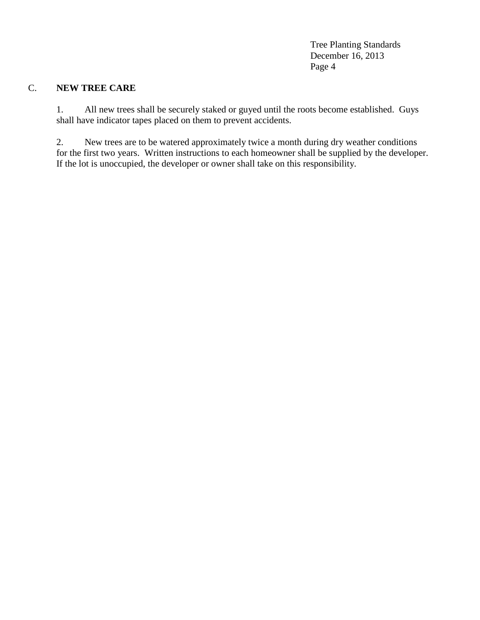Tree Planting Standards December 16, 2013 Page 4

### C. **NEW TREE CARE**

1. All new trees shall be securely staked or guyed until the roots become established. Guys shall have indicator tapes placed on them to prevent accidents.

2. New trees are to be watered approximately twice a month during dry weather conditions for the first two years. Written instructions to each homeowner shall be supplied by the developer. If the lot is unoccupied, the developer or owner shall take on this responsibility.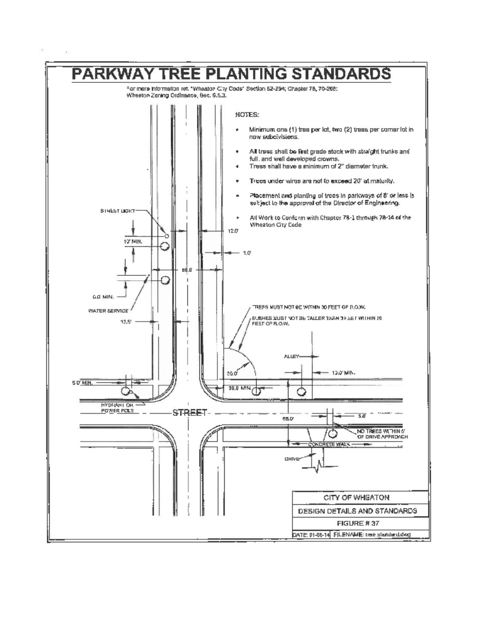